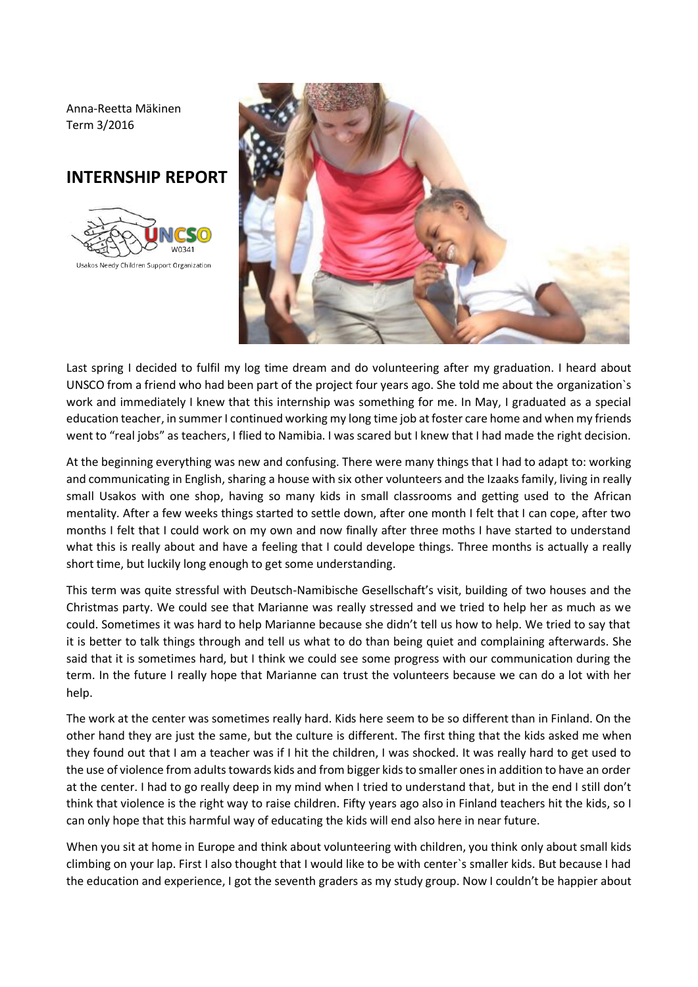Anna-Reetta Mäkinen Term 3/2016

## **INTERNSHIP REPORT**





Last spring I decided to fulfil my log time dream and do volunteering after my graduation. I heard about UNSCO from a friend who had been part of the project four years ago. She told me about the organization`s work and immediately I knew that this internship was something for me. In May, I graduated as a special education teacher, in summer I continued working my long time job at foster care home and when my friends went to "real jobs" as teachers, I flied to Namibia. I was scared but I knew that I had made the right decision.

At the beginning everything was new and confusing. There were many things that I had to adapt to: working and communicating in English, sharing a house with six other volunteers and the Izaaks family, living in really small Usakos with one shop, having so many kids in small classrooms and getting used to the African mentality. After a few weeks things started to settle down, after one month I felt that I can cope, after two months I felt that I could work on my own and now finally after three moths I have started to understand what this is really about and have a feeling that I could develope things. Three months is actually a really short time, but luckily long enough to get some understanding.

This term was quite stressful with Deutsch-Namibische Gesellschaft's visit, building of two houses and the Christmas party. We could see that Marianne was really stressed and we tried to help her as much as we could. Sometimes it was hard to help Marianne because she didn't tell us how to help. We tried to say that it is better to talk things through and tell us what to do than being quiet and complaining afterwards. She said that it is sometimes hard, but I think we could see some progress with our communication during the term. In the future I really hope that Marianne can trust the volunteers because we can do a lot with her help.

The work at the center was sometimes really hard. Kids here seem to be so different than in Finland. On the other hand they are just the same, but the culture is different. The first thing that the kids asked me when they found out that I am a teacher was if I hit the children, I was shocked. It was really hard to get used to the use of violence from adults towards kids and from bigger kids to smaller ones in addition to have an order at the center. I had to go really deep in my mind when I tried to understand that, but in the end I still don't think that violence is the right way to raise children. Fifty years ago also in Finland teachers hit the kids, so I can only hope that this harmful way of educating the kids will end also here in near future.

When you sit at home in Europe and think about volunteering with children, you think only about small kids climbing on your lap. First I also thought that I would like to be with center`s smaller kids. But because I had the education and experience, I got the seventh graders as my study group. Now I couldn't be happier about